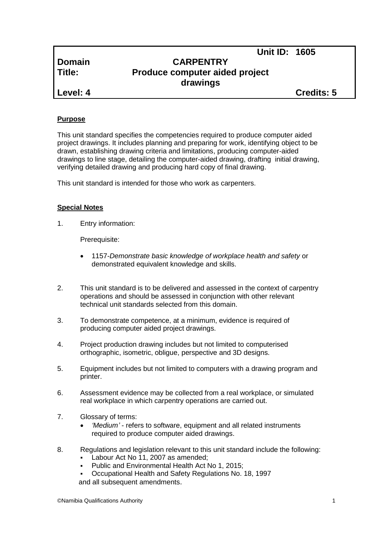# **Domain CARPENTRY Title: Produce computer aided project drawings**

**Level: 4 Credits: 5**

**Unit ID: 1605**

## **Purpose**

This unit standard specifies the competencies required to produce computer aided project drawings. It includes planning and preparing for work, identifying object to be drawn, establishing drawing criteria and limitations, producing computer-aided drawings to line stage, detailing the computer-aided drawing, drafting initial drawing, verifying detailed drawing and producing hard copy of final drawing.

This unit standard is intended for those who work as carpenters.

## **Special Notes**

1. Entry information:

Prerequisite:

- 1157*-Demonstrate basic knowledge of workplace health and safety* or demonstrated equivalent knowledge and skills.
- 2. This unit standard is to be delivered and assessed in the context of carpentry operations and should be assessed in conjunction with other relevant technical unit standards selected from this domain.
- 3. To demonstrate competence, at a minimum, evidence is required of producing computer aided project drawings.
- 4. Project production drawing includes but not limited to computerised orthographic, isometric, obligue, perspective and 3D designs.
- 5. Equipment includes but not limited to computers with a drawing program and printer.
- 6. Assessment evidence may be collected from a real workplace, or simulated real workplace in which carpentry operations are carried out.
- 7. Glossary of terms:
	- *'Medium' -* refers to software, equipment and all related instruments required to produce computer aided drawings.
- 8. Regulations and legislation relevant to this unit standard include the following:
	- Labour Act No 11, 2007 as amended;
	- Public and Environmental Health Act No 1, 2015;
	- Occupational Health and Safety Regulations No. 18, 1997 and all subsequent amendments.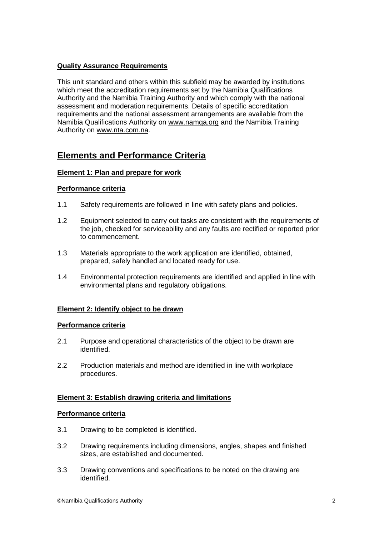## **Quality Assurance Requirements**

This unit standard and others within this subfield may be awarded by institutions which meet the accreditation requirements set by the Namibia Qualifications Authority and the Namibia Training Authority and which comply with the national assessment and moderation requirements. Details of specific accreditation requirements and the national assessment arrangements are available from the Namibia Qualifications Authority on [www.namqa.org](http://www.namqa.org/) and the Namibia Training Authority on [www.nta.com.na.](http://www.nta.com.na/)

# **Elements and Performance Criteria**

## **Element 1: Plan and prepare for work**

#### **Performance criteria**

- 1.1 Safety requirements are followed in line with safety plans and policies.
- 1.2 Equipment selected to carry out tasks are consistent with the requirements of the job, checked for serviceability and any faults are rectified or reported prior to commencement.
- 1.3 Materials appropriate to the work application are identified, obtained, prepared, safely handled and located ready for use.
- 1.4 Environmental protection requirements are identified and applied in line with environmental plans and regulatory obligations.

## **Element 2: Identify object to be drawn**

#### **Performance criteria**

- 2.1 Purpose and operational characteristics of the object to be drawn are identified.
- 2.2 Production materials and method are identified in line with workplace procedures.

## **Element 3: Establish drawing criteria and limitations**

#### **Performance criteria**

- 3.1 Drawing to be completed is identified.
- 3.2 Drawing requirements including dimensions, angles, shapes and finished sizes, are established and documented.
- 3.3 Drawing conventions and specifications to be noted on the drawing are identified.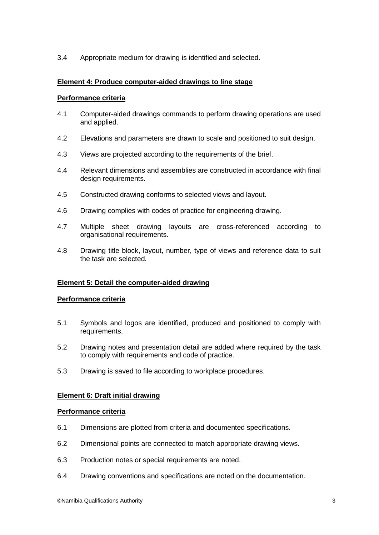3.4 Appropriate medium for drawing is identified and selected.

## **Element 4: Produce computer-aided drawings to line stage**

#### **Performance criteria**

- 4.1 Computer-aided drawings commands to perform drawing operations are used and applied.
- 4.2 Elevations and parameters are drawn to scale and positioned to suit design.
- 4.3 Views are projected according to the requirements of the brief.
- 4.4 Relevant dimensions and assemblies are constructed in accordance with final design requirements.
- 4.5 Constructed drawing conforms to selected views and layout.
- 4.6 Drawing complies with codes of practice for engineering drawing.
- 4.7 Multiple sheet drawing layouts are cross-referenced according to organisational requirements.
- 4.8 Drawing title block, layout, number, type of views and reference data to suit the task are selected.

## **Element 5: Detail the computer-aided drawing**

#### **Performance criteria**

- 5.1 Symbols and logos are identified, produced and positioned to comply with requirements.
- 5.2 Drawing notes and presentation detail are added where required by the task to comply with requirements and code of practice.
- 5.3 Drawing is saved to file according to workplace procedures.

## **Element 6: Draft initial drawing**

#### **Performance criteria**

- 6.1 Dimensions are plotted from criteria and documented specifications.
- 6.2 Dimensional points are connected to match appropriate drawing views.
- 6.3 Production notes or special requirements are noted.
- 6.4 Drawing conventions and specifications are noted on the documentation.